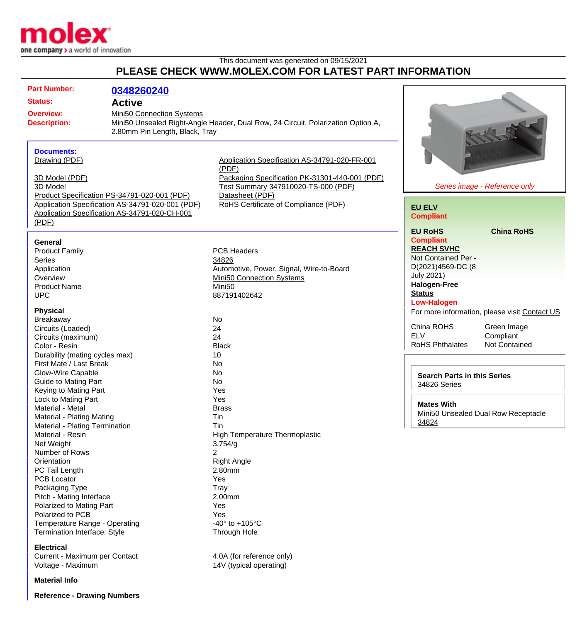

This document was generated on 09/15/2021 **PLEASE CHECK WWW.MOLEX.COM FOR LATEST PART INFORMATION**

|                     | <b>Part Number:</b>                                      |                                                  |                                                                                  |                                    |                                               |
|---------------------|----------------------------------------------------------|--------------------------------------------------|----------------------------------------------------------------------------------|------------------------------------|-----------------------------------------------|
|                     |                                                          | 0348260240                                       |                                                                                  |                                    |                                               |
| <b>Status:</b>      |                                                          | <b>Active</b>                                    |                                                                                  |                                    |                                               |
|                     | <b>Overview:</b>                                         | Mini50 Connection Systems                        |                                                                                  |                                    |                                               |
| <b>Description:</b> |                                                          |                                                  | Mini50 Unsealed Right-Angle Header, Dual Row, 24 Circuit, Polarization Option A, |                                    |                                               |
|                     |                                                          | 2.80mm Pin Length, Black, Tray                   |                                                                                  |                                    |                                               |
|                     |                                                          |                                                  |                                                                                  |                                    |                                               |
|                     | <b>Documents:</b>                                        |                                                  |                                                                                  |                                    |                                               |
|                     | Drawing (PDF)                                            |                                                  | Application Specification AS-34791-020-FR-001                                    |                                    |                                               |
|                     |                                                          |                                                  | (PDF)                                                                            |                                    |                                               |
|                     | 3D Model (PDF)                                           |                                                  | Packaging Specification PK-31301-440-001 (PDF)                                   |                                    |                                               |
|                     | 3D Model<br>Product Specification PS-34791-020-001 (PDF) |                                                  | Test Summary 347910020-TS-000 (PDF)<br>Datasheet (PDF)                           |                                    | Series image - Reference only                 |
|                     |                                                          |                                                  |                                                                                  |                                    |                                               |
|                     |                                                          | Application Specification AS-34791-020-001 (PDF) | RoHS Certificate of Compliance (PDF)                                             |                                    |                                               |
|                     |                                                          | Application Specification AS-34791-020-CH-001    |                                                                                  | <b>EU ELV</b>                      |                                               |
|                     | (PDF)                                                    |                                                  |                                                                                  | <b>Compliant</b>                   |                                               |
|                     |                                                          |                                                  |                                                                                  | <b>EU RoHS</b>                     | <b>China RoHS</b>                             |
|                     |                                                          |                                                  |                                                                                  | <b>Compliant</b>                   |                                               |
|                     | General                                                  |                                                  |                                                                                  | <b>REACH SVHC</b>                  |                                               |
|                     | <b>Product Family</b>                                    |                                                  | <b>PCB Headers</b>                                                               | Not Contained Per -                |                                               |
|                     | <b>Series</b>                                            |                                                  | 34826                                                                            | D(2021)4569-DC (8                  |                                               |
|                     | Application                                              |                                                  | Automotive, Power, Signal, Wire-to-Board                                         | <b>July 2021)</b>                  |                                               |
|                     | Overview                                                 |                                                  | Mini50 Connection Systems                                                        | <b>Halogen-Free</b>                |                                               |
|                     | <b>Product Name</b>                                      |                                                  | Mini <sub>50</sub>                                                               | <b>Status</b>                      |                                               |
|                     | <b>UPC</b>                                               |                                                  | 887191402642                                                                     | <b>Low-Halogen</b>                 |                                               |
|                     | <b>Physical</b>                                          |                                                  |                                                                                  |                                    | For more information, please visit Contact US |
|                     | <b>Breakaway</b>                                         |                                                  | No                                                                               |                                    |                                               |
|                     | Circuits (Loaded)                                        |                                                  | 24                                                                               | China ROHS                         | Green Image                                   |
|                     | Circuits (maximum)                                       |                                                  | 24                                                                               | <b>ELV</b>                         | Compliant                                     |
|                     | Color - Resin                                            |                                                  | <b>Black</b>                                                                     | <b>RoHS Phthalates</b>             | <b>Not Contained</b>                          |
|                     | Durability (mating cycles max)                           |                                                  | 10                                                                               |                                    |                                               |
|                     | First Mate / Last Break                                  |                                                  | No                                                                               |                                    |                                               |
|                     | Glow-Wire Capable                                        |                                                  | No                                                                               | <b>Search Parts in this Series</b> |                                               |
|                     | <b>Guide to Mating Part</b>                              |                                                  | No                                                                               | 34826 Series                       |                                               |
|                     | Keying to Mating Part                                    |                                                  | Yes                                                                              |                                    |                                               |
|                     | Lock to Mating Part                                      |                                                  | Yes                                                                              |                                    |                                               |
|                     | Material - Metal                                         |                                                  | <b>Brass</b>                                                                     | <b>Mates With</b>                  |                                               |
|                     | Material - Plating Mating                                |                                                  | Tin                                                                              |                                    | Mini50 Unsealed Dual Row Receptacle           |
|                     | Material - Plating Termination                           |                                                  | Tin                                                                              | 34824                              |                                               |
|                     | Material - Resin                                         |                                                  | High Temperature Thermoplastic                                                   |                                    |                                               |
|                     | Net Weight                                               |                                                  | 3.754/g                                                                          |                                    |                                               |
|                     | Number of Rows                                           |                                                  | 2                                                                                |                                    |                                               |
|                     | Orientation                                              |                                                  | <b>Right Angle</b>                                                               |                                    |                                               |
|                     | PC Tail Length                                           |                                                  | 2.80mm                                                                           |                                    |                                               |
|                     | <b>PCB Locator</b>                                       |                                                  | Yes                                                                              |                                    |                                               |
|                     | Packaging Type                                           |                                                  | Tray                                                                             |                                    |                                               |
|                     | Pitch - Mating Interface                                 |                                                  | 2.00mm                                                                           |                                    |                                               |
|                     | Polarized to Mating Part                                 |                                                  | Yes                                                                              |                                    |                                               |
|                     | Polarized to PCB                                         |                                                  | Yes                                                                              |                                    |                                               |
|                     | Temperature Range - Operating                            |                                                  | -40 $^{\circ}$ to +105 $^{\circ}$ C                                              |                                    |                                               |
|                     | Termination Interface: Style                             |                                                  | Through Hole                                                                     |                                    |                                               |
|                     | <b>Electrical</b>                                        |                                                  |                                                                                  |                                    |                                               |
|                     | Current - Maximum per Contact                            |                                                  | 4.0A (for reference only)                                                        |                                    |                                               |
|                     | Voltage - Maximum                                        |                                                  | 14V (typical operating)                                                          |                                    |                                               |
|                     |                                                          |                                                  |                                                                                  |                                    |                                               |

**Material Info**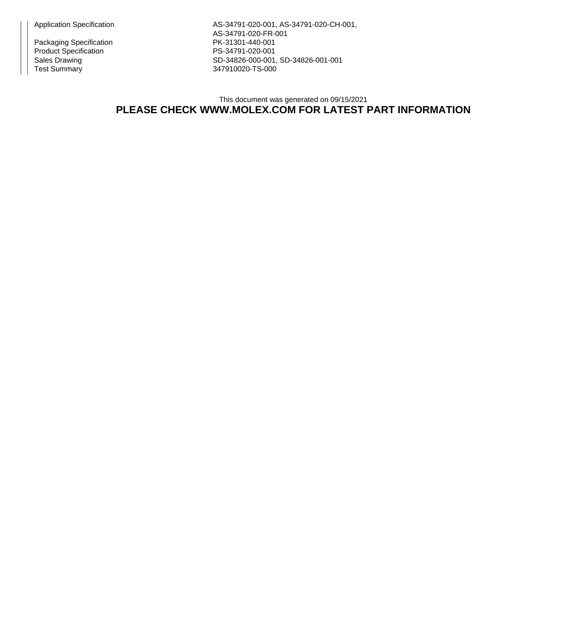Packaging Specification PK-31301-440-001 Product Specification PS-34791-020-001<br>Sales Drawing PS-34826-000-001

Application Specification **AS-34791-020-001**, AS-34791-020-CH-001, AS-34791-020-FR-001 Sales Drawing Sales Drawing SD-34826-000-001, SD-34826-001-001<br>
Test Summary SD-34826-000-001, SD-34826-001-001 347910020-TS-000

## This document was generated on 09/15/2021 **PLEASE CHECK WWW.MOLEX.COM FOR LATEST PART INFORMATION**